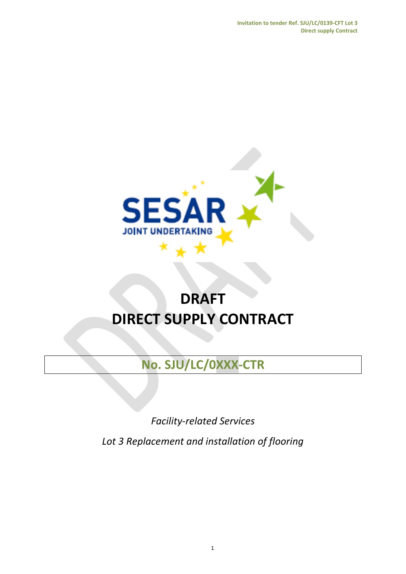**Invitation to tender Ref. SJU/LC/0139-CFT Lot 3 Direct supply Contract**



# **DRAFT DIRECT SUPPLY CONTRACT**

**No. SJU/LC/0XXX-CTR**

*Facility-related Services*

*Lot 3 Replacement and installation of flooring*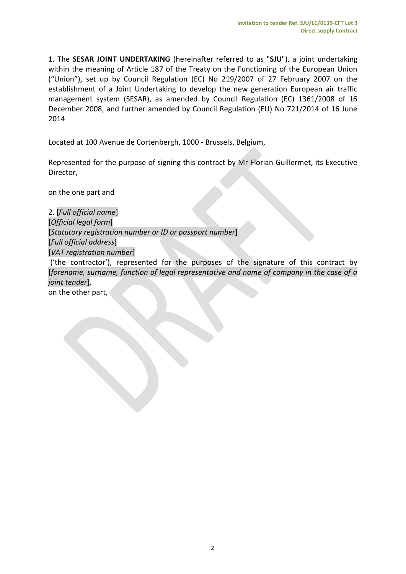1. The **SESAR JOINT UNDERTAKING** (hereinafter referred to as "**SJU**"), a joint undertaking within the meaning of Article 187 of the Treaty on the Functioning of the European Union ("Union"), set up by Council Regulation (EC) No 219/2007 of 27 February 2007 on the establishment of a Joint Undertaking to develop the new generation European air traffic management system (SESAR), as amended by Council Regulation (EC) 1361/2008 of 16 December 2008, and further amended by Council Regulation (EU) No 721/2014 of 16 June 2014

Located at 100 Avenue de Cortenbergh, 1000 - Brussels, Belgium,

Represented for the purpose of signing this contract by Mr Florian Guillermet, its Executive Director,

on the one part and

2. [*Full official name*] [*Official legal form*] **[***Statutory registration number or ID or passport number***]** [*Full official address*] [*VAT registration number*] ('the contractor'), represented for the purposes of the signature of this contract by [*forename, surname, function of legal representative and name of company in the case of a joint tender*], on the other part,

2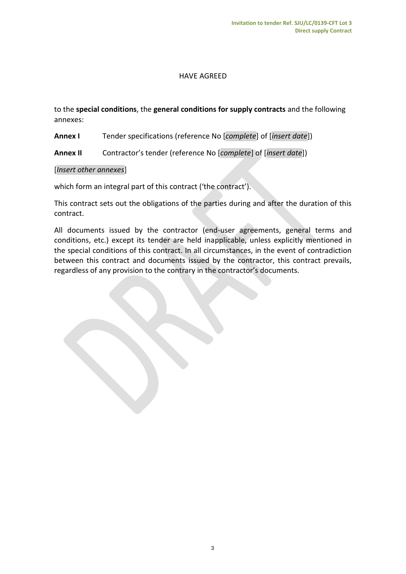## HAVE AGREED

to the **special conditions**, the **general conditions for supply contracts** and the following annexes:

**Annex I** Tender specifications (reference No [*complete*] of [*insert date*])

**Annex II** Contractor's tender (reference No [*complete*] of [*insert date*])

#### [*Insert other annexes*]

which form an integral part of this contract ('the contract').

This contract sets out the obligations of the parties during and after the duration of this contract.

All documents issued by the contractor (end-user agreements, general terms and conditions, etc.) except its tender are held inapplicable, unless explicitly mentioned in the special conditions of this contract. In all circumstances, in the event of contradiction between this contract and documents issued by the contractor, this contract prevails, regardless of any provision to the contrary in the contractor's documents.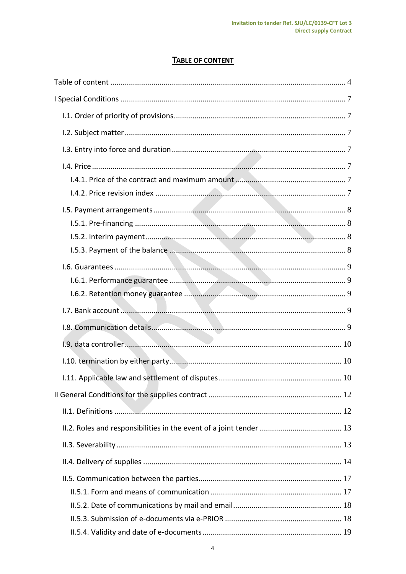# **TABLE OF CONTENT**

<span id="page-3-0"></span>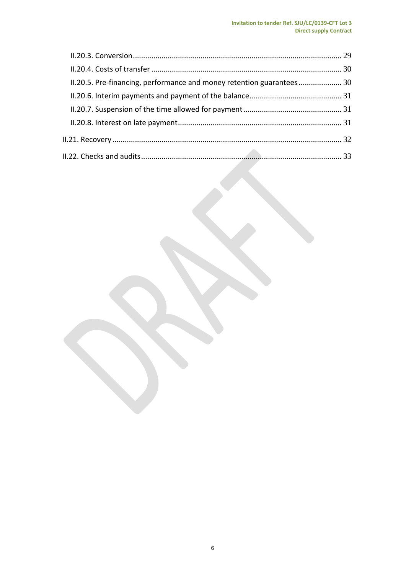| II.20.5. Pre-financing, performance and money retention guarantees 30 |  |
|-----------------------------------------------------------------------|--|
|                                                                       |  |
|                                                                       |  |
|                                                                       |  |
|                                                                       |  |
|                                                                       |  |
|                                                                       |  |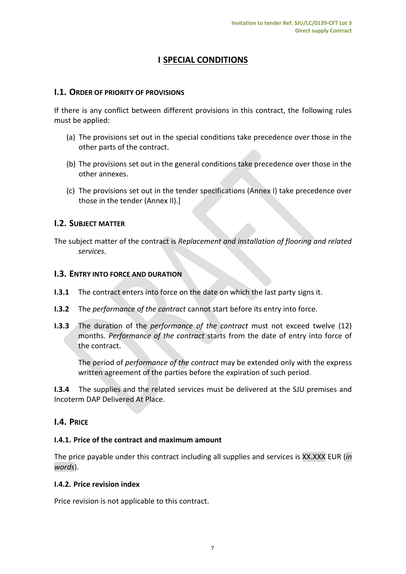# **I SPECIAL CONDITIONS**

## <span id="page-6-1"></span><span id="page-6-0"></span>**I.1. ORDER OF PRIORITY OF PROVISIONS**

If there is any conflict between different provisions in this contract, the following rules must be applied:

- (a) The provisions set out in the special conditions take precedence over those in the other parts of the contract.
- (b) The provisions set out in the general conditions take precedence over those in the other annexes.
- (c) The provisions set out in the tender specifications (Annex I) take precedence over those in the tender (Annex II).]

## <span id="page-6-2"></span>**I.2. SUBJECT MATTER**

The subject matter of the contract is *Replacement and installation of flooring and related services.*

## <span id="page-6-3"></span>**I.3. ENTRY INTO FORCE AND DURATION**

- **I.3.1** The contract enters into force on the date on which the last party signs it.
- **I.3.2** The *performance of the contract* cannot start before its entry into force.
- **I.3.3** The duration of the *performance of the contract* must not exceed twelve (12) months. *Performance of the contract* starts from the date of entry into force of the contract.

The period of *performance of the contract* may be extended only with the express written agreement of the parties before the expiration of such period.

**I.3.4** The supplies and the related services must be delivered at the SJU premises and Incoterm DAP Delivered At Place.

## <span id="page-6-4"></span>**I.4. PRICE**

#### <span id="page-6-5"></span>**I.4.1. Price of the contract and maximum amount**

The price payable under this contract including all supplies and services is XX.XXX EUR (*in words*).

#### <span id="page-6-6"></span>**I.4.2. Price revision index**

Price revision is not applicable to this contract.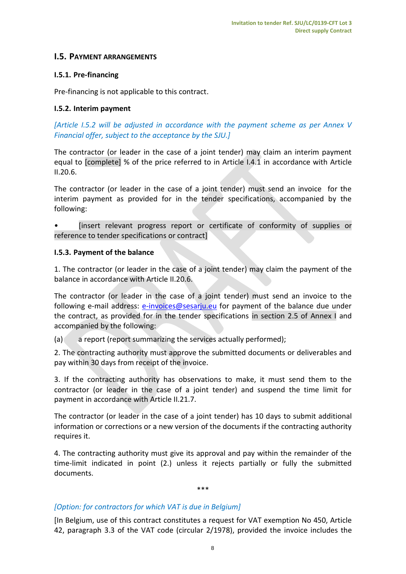## <span id="page-7-0"></span>**I.5. PAYMENT ARRANGEMENTS**

## <span id="page-7-1"></span>**I.5.1. Pre-financing**

Pre-financing is not applicable to this contract.

## <span id="page-7-2"></span>**I.5.2. Interim payment**

*[Article I.5.2 will be adjusted in accordance with the payment scheme as per Annex V Financial offer, subject to the acceptance by the SJU.]*

The contractor (or leader in the case of a joint tender) may claim an interim payment equal to [complete] % of the price referred to in Article I.4.1 in accordance with Article II.20.6.

The contractor (or leader in the case of a joint tender) must send an invoice for the interim payment as provided for in the tender specifications, accompanied by the following:

• [insert relevant progress report or certificate of conformity of supplies or reference to tender specifications or contract]

#### <span id="page-7-3"></span>**I.5.3. Payment of the balance**

1. The contractor (or leader in the case of a joint tender) may claim the payment of the balance in accordance with Article II.20.6.

The contractor (or leader in the case of a joint tender) must send an invoice to the following e-mail address: [e-invoices@sesarju.eu](mailto:e-invoices@sesarju.eu) for payment of the balance due under the contract, as provided for in the tender specifications in section 2.5 of Annex I and accompanied by the following:

(a) a report (report summarizing the services actually performed);

2. The contracting authority must approve the submitted documents or deliverables and pay within 30 days from receipt of the invoice.

3. If the contracting authority has observations to make, it must send them to the contractor (or leader in the case of a joint tender) and suspend the time limit for payment in accordance with Article II.21.7.

The contractor (or leader in the case of a joint tender) has 10 days to submit additional information or corrections or a new version of the documents if the contracting authority requires it.

4. The contracting authority must give its approval and pay within the remainder of the time-limit indicated in point (2.) unless it rejects partially or fully the submitted documents.

\*\*\*

#### *[Option: for contractors for which VAT is due in Belgium]*

[In Belgium, use of this contract constitutes a request for VAT exemption No 450, Article 42, paragraph 3.3 of the VAT code (circular 2/1978), provided the invoice includes the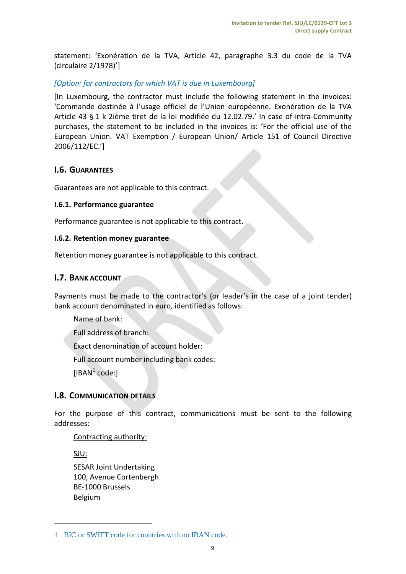statement: 'Exonération de la TVA, Article 42, paragraphe 3.3 du code de la TVA (circulaire 2/1978)']

## *[Option: for contractors for which VAT is due in Luxembourg]*

[In Luxembourg, the contractor must include the following statement in the invoices: 'Commande destinée à l'usage officiel de l'Union européenne. Exonération de la TVA Article 43 § 1 k 2ième tiret de la loi modifiée du 12.02.79.' In case of intra-Community purchases, the statement to be included in the invoices is: 'For the official use of the European Union. VAT Exemption / European Union/ Article 151 of Council Directive 2006/112/EC.']

## <span id="page-8-0"></span>**I.6. GUARANTEES**

Guarantees are not applicable to this contract.

#### <span id="page-8-1"></span>**I.6.1. Performance guarantee**

Performance guarantee is not applicable to this contract.

#### <span id="page-8-2"></span>**I.6.2. Retention money guarantee**

Retention money guarantee is not applicable to this contract.

## <span id="page-8-3"></span>**I.7. BANK ACCOUNT**

Payments must be made to the contractor's (or leader's in the case of a joint tender) bank account denominated in euro*,* identified as follows:

Name of bank:

Full address of branch:

Exact denomination of account holder:

Full account number including bank codes:

[IBAN $<sup>1</sup>$  code:]</sup>

## <span id="page-8-4"></span>**I.8. COMMUNICATION DETAILS**

For the purpose of this contract, communications must be sent to the following addresses:

Contracting authority:

SJU:

1

SESAR Joint Undertaking 100, Avenue Cortenbergh BE-1000 Brussels Belgium

<sup>1</sup> BIC or SWIFT code for countries with no IBAN code.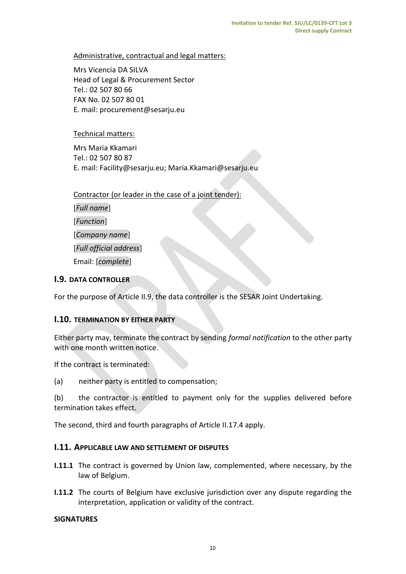## Administrative, contractual and legal matters:

Mrs Vicencia DA SILVA Head of Legal & Procurement Sector Tel.: 02 507 80 66 FAX No. 02 507 80 01 E. mail: procurement@sesarju.eu

## Technical matters:

Mrs Maria Kkamari Tel.: 02 507 80 87 E. mail: Facility@sesarju.eu; Maria.Kkamari@sesarju.eu

Contractor (or leader in the case of a joint tender):

[*Full name*] [*Function*] [*Company name*] [*Full official address*] Email: [*complete*]

## <span id="page-9-0"></span>**I.9. DATA CONTROLLER**

For the purpose of Article II.9, the data controller is the SESAR Joint Undertaking.

## <span id="page-9-1"></span>**I.10. TERMINATION BY EITHER PARTY**

Either party may, terminate the contract by sending *formal notification* to the other party with one month written notice.

If the contract is terminated:

(a) neither party is entitled to compensation;

(b) the contractor is entitled to payment only for the supplies delivered before termination takes effect.

The second, third and fourth paragraphs of Article II.17.4 apply.

#### <span id="page-9-2"></span>**I.11. APPLICABLE LAW AND SETTLEMENT OF DISPUTES**

- **I.11.1** The contract is governed by Union law, complemented, where necessary, by the law of Belgium.
- **I.11.2** The courts of Belgium have exclusive jurisdiction over any dispute regarding the interpretation, application or validity of the contract.

#### **SIGNATURES**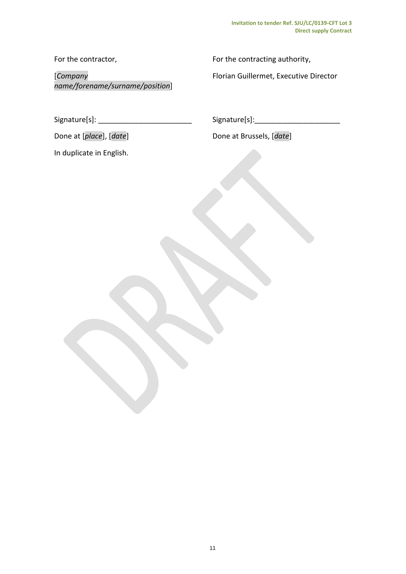For the contractor,

[*Company name/forename/surname/position*] For the contracting authority,

Florian Guillermet, Executive Director

Signature[s]: \_\_\_\_\_\_\_\_\_\_\_\_\_\_\_\_\_\_\_\_\_\_\_

In duplicate in English.

 $Signature[s]:$ 

Done at [*place*], [*date*] **Done at Brussels**, [*date*]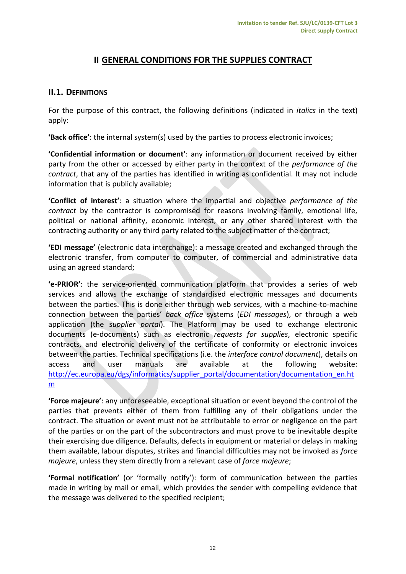# **II GENERAL CONDITIONS FOR THE SUPPLIES CONTRACT**

## <span id="page-11-1"></span><span id="page-11-0"></span>**II.1. DEFINITIONS**

For the purpose of this contract, the following definitions (indicated in *italics* in the text) apply:

**'Back office'**: the internal system(s) used by the parties to process electronic invoices;

**'Confidential information or document'**: any information or document received by either party from the other or accessed by either party in the context of the *performance of the contract*, that any of the parties has identified in writing as confidential. It may not include information that is publicly available;

**'Conflict of interest'**: a situation where the impartial and objective *performance of the contract* by the contractor is compromised for reasons involving family, emotional life, political or national affinity, economic interest, or any other shared interest with the contracting authority or any third party related to the subject matter of the contract;

**'EDI message'** (electronic data interchange): a message created and exchanged through the electronic transfer, from computer to computer, of commercial and administrative data using an agreed standard;

**'e-PRIOR'**: the service-oriented communication platform that provides a series of web services and allows the exchange of standardised electronic messages and documents between the parties. This is done either through web services, with a machine-to-machine connection between the parties' *back office* systems (*EDI messages*), or through a web application (the s*upplier portal*). The Platform may be used to exchange electronic documents (e-documents) such as electronic *requests for supplies*, electronic specific contracts, and electronic delivery of the certificate of conformity or electronic invoices between the parties. Technical specifications (i.e. the *interface control document*), details on access and user manuals are available at the following website: [http://ec.europa.eu/dgs/informatics/supplier\\_portal/documentation/documentation\\_en.ht](http://ec.europa.eu/dgs/informatics/supplier_portal/documentation/documentation_en.htm) [m](http://ec.europa.eu/dgs/informatics/supplier_portal/documentation/documentation_en.htm)

**'Force majeure'**: any unforeseeable, exceptional situation or event beyond the control of the parties that prevents either of them from fulfilling any of their obligations under the contract. The situation or event must not be attributable to error or negligence on the part of the parties or on the part of the subcontractors and must prove to be inevitable despite their exercising due diligence. Defaults, defects in equipment or material or delays in making them available, labour disputes, strikes and financial difficulties may not be invoked as *force majeure*, unless they stem directly from a relevant case of *force majeure*;

**'Formal notification'** (or 'formally notify'): form of communication between the parties made in writing by mail or email, which provides the sender with compelling evidence that the message was delivered to the specified recipient;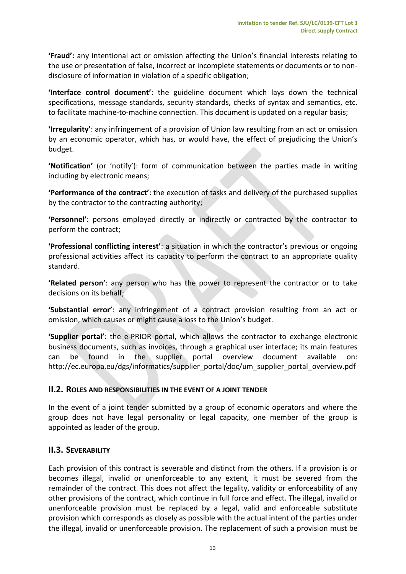**'Fraud':** any intentional act or omission affecting the Union's financial interests relating to the use or presentation of false, incorrect or incomplete statements or documents or to nondisclosure of information in violation of a specific obligation;

**'Interface control document'**: the guideline document which lays down the technical specifications, message standards, security standards, checks of syntax and semantics, etc. to facilitate machine-to-machine connection. This document is updated on a regular basis;

**'Irregularity'**: any infringement of a provision of Union law resulting from an act or omission by an economic operator, which has, or would have, the effect of prejudicing the Union's budget.

**'Notification'** (or 'notify'): form of communication between the parties made in writing including by electronic means;

**'Performance of the contract'**: the execution of tasks and delivery of the purchased supplies by the contractor to the contracting authority;

**'Personnel'**: persons employed directly or indirectly or contracted by the contractor to perform the contract;

**'Professional conflicting interest'**: a situation in which the contractor's previous or ongoing professional activities affect its capacity to perform the contract to an appropriate quality standard.

**'Related person'**: any person who has the power to represent the contractor or to take decisions on its behalf;

**'Substantial error'**: any infringement of a contract provision resulting from an act or omission, which causes or might cause a loss to the Union's budget.

**'Supplier portal'**: the e-PRIOR portal, which allows the contractor to exchange electronic business documents, such as invoices, through a graphical user interface; its main features can be found in the supplier portal overview document available on: [http://ec.europa.eu/dgs/informatics/supplier\\_portal/doc/um\\_supplier\\_portal\\_overview.pdf](http://ec.europa.eu/dgs/informatics/supplier_portal/doc/um_supplier_portal_overview.pdf)

## <span id="page-12-0"></span>**II.2. ROLES AND RESPONSIBILITIES IN THE EVENT OF A JOINT TENDER**

In the event of a joint tender submitted by a group of economic operators and where the group does not have legal personality or legal capacity, one member of the group is appointed as leader of the group.

## <span id="page-12-1"></span>**II.3. SEVERABILITY**

Each provision of this contract is severable and distinct from the others. If a provision is or becomes illegal, invalid or unenforceable to any extent, it must be severed from the remainder of the contract. This does not affect the legality, validity or enforceability of any other provisions of the contract, which continue in full force and effect. The illegal, invalid or unenforceable provision must be replaced by a legal, valid and enforceable substitute provision which corresponds as closely as possible with the actual intent of the parties under the illegal, invalid or unenforceable provision. The replacement of such a provision must be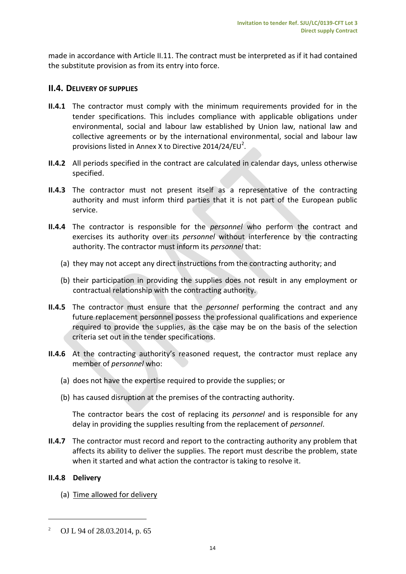made in accordance with Article II.11. The contract must be interpreted as if it had contained the substitute provision as from its entry into force.

# <span id="page-13-0"></span>**II.4. DELIVERY OF SUPPLIES**

- **II.4.1** The contractor must comply with the minimum requirements provided for in the tender specifications. This includes compliance with applicable obligations under environmental, social and labour law established by Union law, national law and collective agreements or by the international environmental, social and labour law provisions listed in Annex X to Directive 2014/24/EU<sup>2</sup>.
- **II.4.2** All periods specified in the contract are calculated in calendar days, unless otherwise specified.
- **II.4.3** The contractor must not present itself as a representative of the contracting authority and must inform third parties that it is not part of the European public service.
- **II.4.4** The contractor is responsible for the *personnel* who perform the contract and exercises its authority over its *personnel* without interference by the contracting authority. The contractor must inform its *personnel* that:
	- (a) they may not accept any direct instructions from the contracting authority; and
	- (b) their participation in providing the supplies does not result in any employment or contractual relationship with the contracting authority.
- **II.4.5** The contractor must ensure that the *personnel* performing the contract and any future replacement personnel possess the professional qualifications and experience required to provide the supplies, as the case may be on the basis of the selection criteria set out in the tender specifications.
- **II.4.6** At the contracting authority's reasoned request, the contractor must replace any member of *personnel* who:
	- (a) does not have the expertise required to provide the supplies; or
	- (b) has caused disruption at the premises of the contracting authority.

The contractor bears the cost of replacing its *personnel* and is responsible for any delay in providing the supplies resulting from the replacement of *personnel*.

**II.4.7** The contractor must record and report to the contracting authority any problem that affects its ability to deliver the supplies. The report must describe the problem, state when it started and what action the contractor is taking to resolve it.

#### **II.4.8 Delivery**

 $\overline{a}$ 

(a) Time allowed for delivery

<sup>2</sup> OJ L 94 of 28.03.2014, p. 65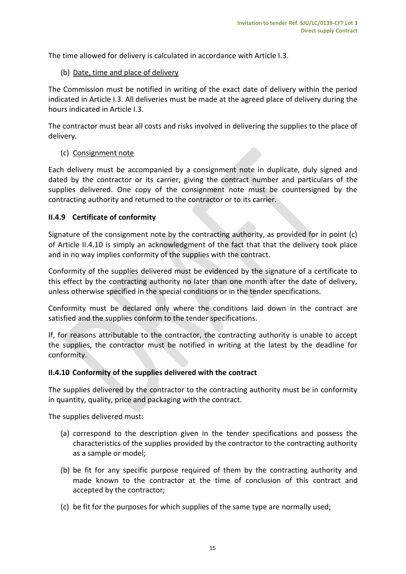The time allowed for delivery is calculated in accordance with Article I.3.

## (b) Date, time and place of delivery

The Commission must be notified in writing of the exact date of delivery within the period indicated in Article I.3. All deliveries must be made at the agreed place of delivery during the hours indicated in Article I.3.

The contractor must bear all costs and risks involved in delivering the supplies to the place of delivery.

## (c) Consignment note

Each delivery must be accompanied by a consignment note in duplicate, duly signed and dated by the contractor or its carrier, giving the contract number and particulars of the supplies delivered. One copy of the consignment note must be countersigned by the contracting authority and returned to the contractor or to its carrier.

## **II.4.9 Certificate of conformity**

Signature of the consignment note by the contracting authority, as provided for in point (c) of Article II.4.10 is simply an acknowledgment of the fact that that the delivery took place and in no way implies conformity of the supplies with the contract.

Conformity of the supplies delivered must be evidenced by the signature of a certificate to this effect by the contracting authority no later than one month after the date of delivery, unless otherwise specified in the special conditions or in the tender specifications.

Conformity must be declared only where the conditions laid down in the contract are satisfied and the supplies conform to the tender specifications.

If, for reasons attributable to the contractor, the contracting authority is unable to accept the supplies, the contractor must be notified in writing at the latest by the deadline for conformity.

## **II.4.10 Conformity of the supplies delivered with the contract**

The supplies delivered by the contractor to the contracting authority must be in conformity in quantity, quality, price and packaging with the contract.

The supplies delivered must:

- (a) correspond to the description given in the tender specifications and possess the characteristics of the supplies provided by the contractor to the contracting authority as a sample or model;
- (b) be fit for any specific purpose required of them by the contracting authority and made known to the contractor at the time of conclusion of this contract and accepted by the contractor;
- (c) be fit for the purposes for which supplies of the same type are normally used;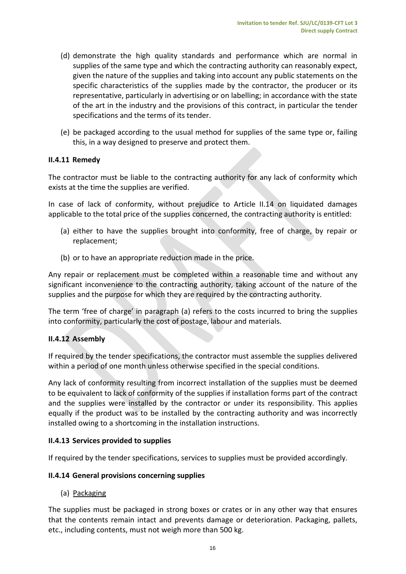- (d) demonstrate the high quality standards and performance which are normal in supplies of the same type and which the contracting authority can reasonably expect, given the nature of the supplies and taking into account any public statements on the specific characteristics of the supplies made by the contractor, the producer or its representative, particularly in advertising or on labelling; in accordance with the state of the art in the industry and the provisions of this contract, in particular the tender specifications and the terms of its tender.
- (e) be packaged according to the usual method for supplies of the same type or, failing this, in a way designed to preserve and protect them.

## **II.4.11 Remedy**

The contractor must be liable to the contracting authority for any lack of conformity which exists at the time the supplies are verified.

In case of lack of conformity, without prejudice to Article II.14 on liquidated damages applicable to the total price of the supplies concerned, the contracting authority is entitled:

- (a) either to have the supplies brought into conformity, free of charge, by repair or replacement;
- (b) or to have an appropriate reduction made in the price.

Any repair or replacement must be completed within a reasonable time and without any significant inconvenience to the contracting authority, taking account of the nature of the supplies and the purpose for which they are required by the contracting authority.

The term 'free of charge' in paragraph (a) refers to the costs incurred to bring the supplies into conformity, particularly the cost of postage, labour and materials.

#### **II.4.12 Assembly**

If required by the tender specifications, the contractor must assemble the supplies delivered within a period of one month unless otherwise specified in the special conditions.

Any lack of conformity resulting from incorrect installation of the supplies must be deemed to be equivalent to lack of conformity of the supplies if installation forms part of the contract and the supplies were installed by the contractor or under its responsibility. This applies equally if the product was to be installed by the contracting authority and was incorrectly installed owing to a shortcoming in the installation instructions.

## **II.4.13 Services provided to supplies**

If required by the tender specifications, services to supplies must be provided accordingly.

#### **II.4.14 General provisions concerning supplies**

(a) Packaging

The supplies must be packaged in strong boxes or crates or in any other way that ensures that the contents remain intact and prevents damage or deterioration. Packaging, pallets, etc., including contents, must not weigh more than 500 kg.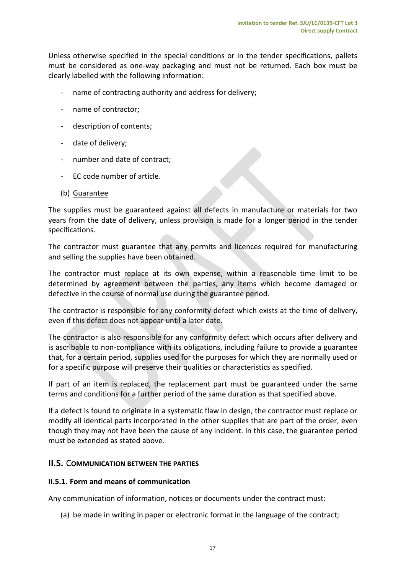Unless otherwise specified in the special conditions or in the tender specifications, pallets must be considered as one-way packaging and must not be returned. Each box must be clearly labelled with the following information:

- name of contracting authority and address for delivery;
- name of contractor;
- description of contents;
- date of delivery;
- number and date of contract;
- EC code number of article.
- (b) Guarantee

The supplies must be guaranteed against all defects in manufacture or materials for two years from the date of delivery, unless provision is made for a longer period in the tender specifications.

The contractor must guarantee that any permits and licences required for manufacturing and selling the supplies have been obtained.

The contractor must replace at its own expense, within a reasonable time limit to be determined by agreement between the parties, any items which become damaged or defective in the course of normal use during the guarantee period.

The contractor is responsible for any conformity defect which exists at the time of delivery, even if this defect does not appear until a later date.

The contractor is also responsible for any conformity defect which occurs after delivery and is ascribable to non-compliance with its obligations, including failure to provide a guarantee that, for a certain period, supplies used for the purposes for which they are normally used or for a specific purpose will preserve their qualities or characteristics as specified.

If part of an item is replaced, the replacement part must be guaranteed under the same terms and conditions for a further period of the same duration as that specified above.

If a defect is found to originate in a systematic flaw in design, the contractor must replace or modify all identical parts incorporated in the other supplies that are part of the order, even though they may not have been the cause of any incident. In this case, the guarantee period must be extended as stated above.

## <span id="page-16-0"></span>**II.5.** C**OMMUNICATION BETWEEN THE PARTIES**

## <span id="page-16-1"></span>**II.5.1. Form and means of communication**

Any communication of information, notices or documents under the contract must:

(a) be made in writing in paper or electronic format in the language of the contract;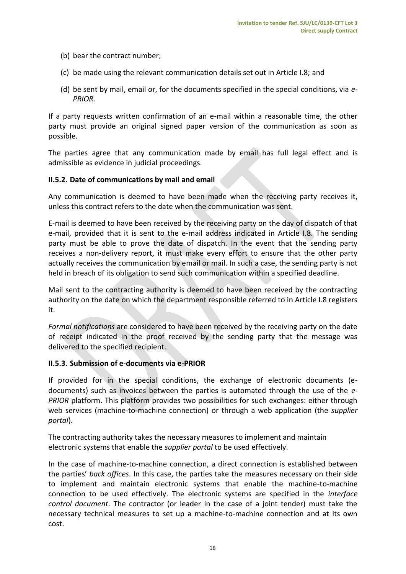- (b) bear the contract number;
- (c) be made using the relevant communication details set out in Article I.8; and
- (d) be sent by mail, email or, for the documents specified in the special conditions, via *e-PRIOR*.

If a party requests written confirmation of an e-mail within a reasonable time, the other party must provide an original signed paper version of the communication as soon as possible.

The parties agree that any communication made by email has full legal effect and is admissible as evidence in judicial proceedings.

## <span id="page-17-0"></span>**II.5.2. Date of communications by mail and email**

Any communication is deemed to have been made when the receiving party receives it, unless this contract refers to the date when the communication was sent.

E-mail is deemed to have been received by the receiving party on the day of dispatch of that e-mail, provided that it is sent to the e-mail address indicated in Article I.8. The sending party must be able to prove the date of dispatch. In the event that the sending party receives a non-delivery report, it must make every effort to ensure that the other party actually receives the communication by email or mail. In such a case, the sending party is not held in breach of its obligation to send such communication within a specified deadline.

Mail sent to the contracting authority is deemed to have been received by the contracting authority on the date on which the department responsible referred to in Article I.8 registers it.

*Formal notifications* are considered to have been received by the receiving party on the date of receipt indicated in the proof received by the sending party that the message was delivered to the specified recipient.

#### <span id="page-17-1"></span>**II.5.3. Submission of e-documents via e-PRIOR**

If provided for in the special conditions, the exchange of electronic documents (edocuments) such as invoices between the parties is automated through the use of the *e-PRIOR* platform. This platform provides two possibilities for such exchanges: either through web services (machine-to-machine connection) or through a web application (the *supplier portal*).

The contracting authority takes the necessary measures to implement and maintain electronic systems that enable the *supplier portal* to be used effectively.

In the case of machine-to-machine connection, a direct connection is established between the parties' *back offices*. In this case, the parties take the measures necessary on their side to implement and maintain electronic systems that enable the machine-to-machine connection to be used effectively. The electronic systems are specified in the *interface control document*. The contractor (or leader in the case of a joint tender) must take the necessary technical measures to set up a machine-to-machine connection and at its own cost.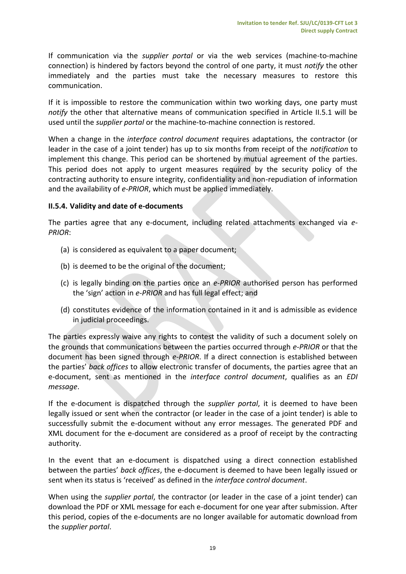If communication via the *supplier portal* or via the web services (machine-to-machine connection) is hindered by factors beyond the control of one party, it must *notify* the other immediately and the parties must take the necessary measures to restore this communication.

If it is impossible to restore the communication within two working days, one party must *notify* the other that alternative means of communication specified in Article II.5.1 will be used until the *supplier portal* or the machine-to-machine connection is restored.

When a change in the *interface control document* requires adaptations, the contractor (or leader in the case of a joint tender) has up to six months from receipt of the *notification* to implement this change. This period can be shortened by mutual agreement of the parties. This period does not apply to urgent measures required by the security policy of the contracting authority to ensure integrity, confidentiality and non-repudiation of information and the availability of *e-PRIOR*, which must be applied immediately.

## <span id="page-18-0"></span>**II.5.4. Validity and date of e-documents**

The parties agree that any e-document, including related attachments exchanged via *e-PRIOR*:

- (a) is considered as equivalent to a paper document;
- (b) is deemed to be the original of the document;
- (c) is legally binding on the parties once an *e-PRIOR* authorised person has performed the 'sign' action in *e-PRIOR* and has full legal effect; and
- (d) constitutes evidence of the information contained in it and is admissible as evidence in judicial proceedings.

The parties expressly waive any rights to contest the validity of such a document solely on the grounds that communications between the parties occurred through *e-PRIOR* or that the document has been signed through *e-PRIOR*. If a direct connection is established between the parties' *back offices* to allow electronic transfer of documents, the parties agree that an e-document, sent as mentioned in the *interface control document*, qualifies as an *EDI message*.

If the e-document is dispatched through the *supplier portal*, it is deemed to have been legally issued or sent when the contractor (or leader in the case of a joint tender) is able to successfully submit the e-document without any error messages. The generated PDF and XML document for the e-document are considered as a proof of receipt by the contracting authority.

In the event that an e-document is dispatched using a direct connection established between the parties' *back offices*, the e-document is deemed to have been legally issued or sent when its status is 'received' as defined in the *interface control document*.

When using the *supplier portal*, the contractor (or leader in the case of a joint tender) can download the PDF or XML message for each e-document for one year after submission. After this period, copies of the e-documents are no longer available for automatic download from the *supplier portal*.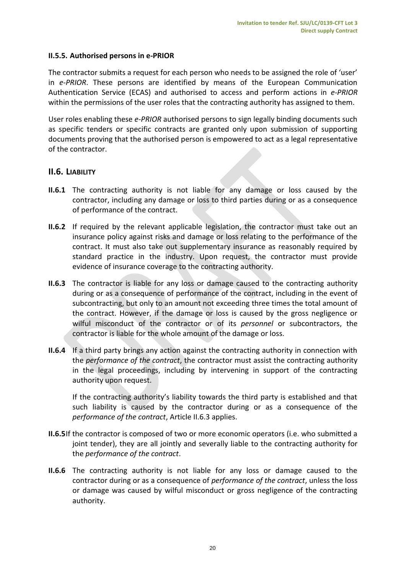## <span id="page-19-0"></span>**II.5.5. Authorised persons in e-PRIOR**

The contractor submits a request for each person who needs to be assigned the role of 'user' in *e-PRIOR*. These persons are identified by means of the European Communication Authentication Service (ECAS) and authorised to access and perform actions in *e-PRIOR* within the permissions of the user roles that the contracting authority has assigned to them.

User roles enabling these *e-PRIOR* authorised persons to sign legally binding documents such as specific tenders or specific contracts are granted only upon submission of supporting documents proving that the authorised person is empowered to act as a legal representative of the contractor.

## <span id="page-19-1"></span>**II.6. LIABILITY**

- **II.6.1** The contracting authority is not liable for any damage or loss caused by the contractor, including any damage or loss to third parties during or as a consequence of performance of the contract.
- **II.6.2** If required by the relevant applicable legislation, the contractor must take out an insurance policy against risks and damage or loss relating to the performance of the contract. It must also take out supplementary insurance as reasonably required by standard practice in the industry. Upon request, the contractor must provide evidence of insurance coverage to the contracting authority.
- **II.6.3** The contractor is liable for any loss or damage caused to the contracting authority during or as a consequence of performance of the contract, including in the event of subcontracting, but only to an amount not exceeding three times the total amount of the contract. However, if the damage or loss is caused by the gross negligence or wilful misconduct of the contractor or of its *personnel* or subcontractors, the contractor is liable for the whole amount of the damage or loss.
- **II.6.4** If a third party brings any action against the contracting authority in connection with the *performance of the contract*, the contractor must assist the contracting authority in the legal proceedings, including by intervening in support of the contracting authority upon request.

If the contracting authority's liability towards the third party is established and that such liability is caused by the contractor during or as a consequence of the *performance of the contract*, Article II.6.3 applies.

- **II.6.5**If the contractor is composed of two or more economic operators (i.e. who submitted a joint tender), they are all jointly and severally liable to the contracting authority for the *performance of the contract*.
- **II.6.6** The contracting authority is not liable for any loss or damage caused to the contractor during or as a consequence of *performance of the contract*, unless the loss or damage was caused by wilful misconduct or gross negligence of the contracting authority.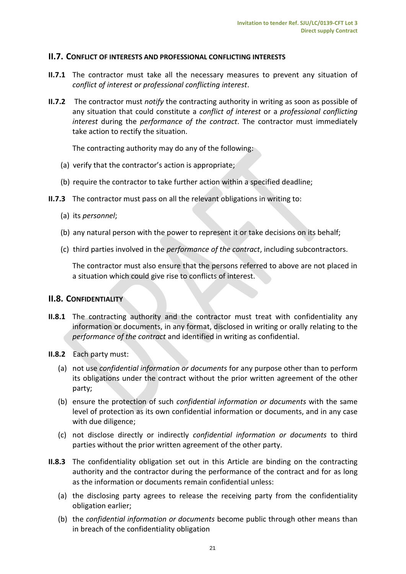#### <span id="page-20-0"></span>**II.7. CONFLICT OF INTERESTS AND PROFESSIONAL CONFLICTING INTERESTS**

- **II.7.1** The contractor must take all the necessary measures to prevent any situation of *conflict of interest or professional conflicting interest*.
- **II.7.2** The contractor must *notify* the contracting authority in writing as soon as possible of any situation that could constitute a *conflict of interest* or a *professional conflicting interest* during the *performance of the contract*. The contractor must immediately take action to rectify the situation.

The contracting authority may do any of the following:

- (a) verify that the contractor's action is appropriate;
- (b) require the contractor to take further action within a specified deadline;
- **II.7.3** The contractor must pass on all the relevant obligations in writing to:
	- (a) its *personnel*;
	- (b) any natural person with the power to represent it or take decisions on its behalf;
	- (c) third parties involved in the *performance of the contract*, including subcontractors.

The contractor must also ensure that the persons referred to above are not placed in a situation which could give rise to conflicts of interest.

#### <span id="page-20-1"></span>**II.8. CONFIDENTIALITY**

- **II.8.1** The contracting authority and the contractor must treat with confidentiality any information or documents, in any format, disclosed in writing or orally relating to the *performance of the contract* and identified in writing as confidential.
- **II.8.2** Each party must:
	- (a) not use *confidential information or documents* for any purpose other than to perform its obligations under the contract without the prior written agreement of the other party;
	- (b) ensure the protection of such *confidential information or documents* with the same level of protection as its own confidential information or documents, and in any case with due diligence;
	- (c) not disclose directly or indirectly *confidential information or documents* to third parties without the prior written agreement of the other party.
- **II.8.3** The confidentiality obligation set out in this Article are binding on the contracting authority and the contractor during the performance of the contract and for as long as the information or documents remain confidential unless:
	- (a) the disclosing party agrees to release the receiving party from the confidentiality obligation earlier;
	- (b) the *confidential information or documents* become public through other means than in breach of the confidentiality obligation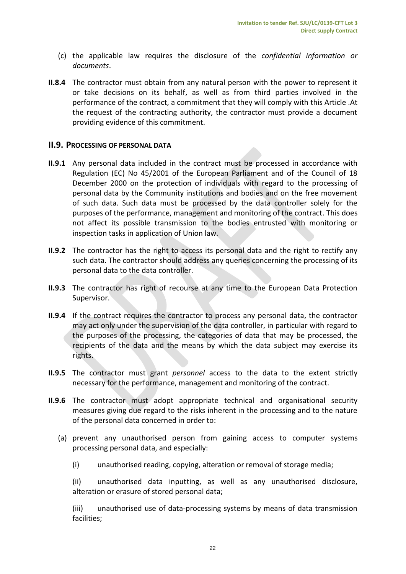- (c) the applicable law requires the disclosure of the *confidential information or documents*.
- **II.8.4** The contractor must obtain from any natural person with the power to represent it or take decisions on its behalf, as well as from third parties involved in the performance of the contract, a commitment that they will comply with this Article .At the request of the contracting authority, the contractor must provide a document providing evidence of this commitment.

## <span id="page-21-0"></span>**II.9. PROCESSING OF PERSONAL DATA**

- **II.9.1** Any personal data included in the contract must be processed in accordance with Regulation (EC) No 45/2001 of the European Parliament and of the Council of 18 December 2000 on the protection of individuals with regard to the processing of personal data by the Community institutions and bodies and on the free movement of such data. Such data must be processed by the data controller solely for the purposes of the performance, management and monitoring of the contract. This does not affect its possible transmission to the bodies entrusted with monitoring or inspection tasks in application of Union law.
- **II.9.2** The contractor has the right to access its personal data and the right to rectify any such data. The contractor should address any queries concerning the processing of its personal data to the data controller.
- **II.9.3** The contractor has right of recourse at any time to the European Data Protection Supervisor.
- **II.9.4** If the contract requires the contractor to process any personal data, the contractor may act only under the supervision of the data controller, in particular with regard to the purposes of the processing, the categories of data that may be processed, the recipients of the data and the means by which the data subject may exercise its rights.
- **II.9.5** The contractor must grant *personnel* access to the data to the extent strictly necessary for the performance, management and monitoring of the contract.
- **II.9.6** The contractor must adopt appropriate technical and organisational security measures giving due regard to the risks inherent in the processing and to the nature of the personal data concerned in order to:
	- (a) prevent any unauthorised person from gaining access to computer systems processing personal data, and especially:
		- (i) unauthorised reading, copying, alteration or removal of storage media;
		- (ii) unauthorised data inputting, as well as any unauthorised disclosure, alteration or erasure of stored personal data;

(iii) unauthorised use of data-processing systems by means of data transmission facilities;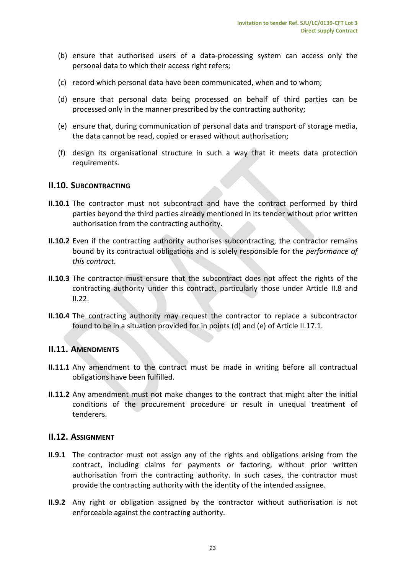- (b) ensure that authorised users of a data-processing system can access only the personal data to which their access right refers;
- (c) record which personal data have been communicated, when and to whom;
- (d) ensure that personal data being processed on behalf of third parties can be processed only in the manner prescribed by the contracting authority;
- (e) ensure that, during communication of personal data and transport of storage media, the data cannot be read, copied or erased without authorisation;
- (f) design its organisational structure in such a way that it meets data protection requirements.

#### <span id="page-22-0"></span>**II.10. SUBCONTRACTING**

- **II.10.1** The contractor must not subcontract and have the contract performed by third parties beyond the third parties already mentioned in its tender without prior written authorisation from the contracting authority.
- **II.10.2** Even if the contracting authority authorises subcontracting, the contractor remains bound by its contractual obligations and is solely responsible for the *performance of this contract.*
- **II.10.3** The contractor must ensure that the subcontract does not affect the rights of the contracting authority under this contract, particularly those under Article II.8 and  $II.22.$
- **II.10.4** The contracting authority may request the contractor to replace a subcontractor found to be in a situation provided for in points (d) and (e) of Article II.17.1.

#### <span id="page-22-1"></span>**II.11. AMENDMENTS**

- **II.11.1** Any amendment to the contract must be made in writing before all contractual obligations have been fulfilled.
- **II.11.2** Any amendment must not make changes to the contract that might alter the initial conditions of the procurement procedure or result in unequal treatment of tenderers.

## <span id="page-22-2"></span>**II.12. ASSIGNMENT**

- **II.9.1** The contractor must not assign any of the rights and obligations arising from the contract, including claims for payments or factoring, without prior written authorisation from the contracting authority. In such cases, the contractor must provide the contracting authority with the identity of the intended assignee.
- **II.9.2** Any right or obligation assigned by the contractor without authorisation is not enforceable against the contracting authority.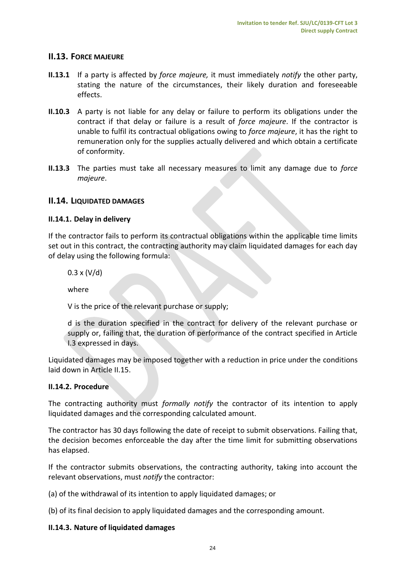## <span id="page-23-0"></span>**II.13. FORCE MAJEURE**

- **II.13.1** If a party is affected by *force majeure,* it must immediately *notify* the other party, stating the nature of the circumstances, their likely duration and foreseeable effects.
- **II.10.3** A party is not liable for any delay or failure to perform its obligations under the contract if that delay or failure is a result of *force majeure*. If the contractor is unable to fulfil its contractual obligations owing to *force majeure*, it has the right to remuneration only for the supplies actually delivered and which obtain a certificate of conformity.
- **II.13.3** The parties must take all necessary measures to limit any damage due to *force majeure*.

# <span id="page-23-1"></span>**II.14. LIQUIDATED DAMAGES**

## <span id="page-23-2"></span>**II.14.1. Delay in delivery**

If the contractor fails to perform its contractual obligations within the applicable time limits set out in this contract, the contracting authority may claim liquidated damages for each day of delay using the following formula:

 $0.3 \times (V/d)$ 

where

V is the price of the relevant purchase or supply;

d is the duration specified in the contract for delivery of the relevant purchase or supply or, failing that, the duration of performance of the contract specified in Article I.3 expressed in days.

Liquidated damages may be imposed together with a reduction in price under the conditions laid down in Article II.15.

## <span id="page-23-3"></span>**II.14.2. Procedure**

The contracting authority must *formally notify* the contractor of its intention to apply liquidated damages and the corresponding calculated amount.

The contractor has 30 days following the date of receipt to submit observations. Failing that, the decision becomes enforceable the day after the time limit for submitting observations has elapsed.

If the contractor submits observations, the contracting authority, taking into account the relevant observations, must *notify* the contractor:

(a) of the withdrawal of its intention to apply liquidated damages; or

(b) of its final decision to apply liquidated damages and the corresponding amount.

#### <span id="page-23-4"></span>**II.14.3. Nature of liquidated damages**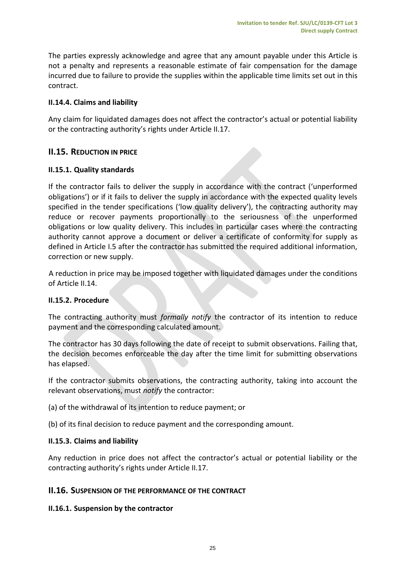The parties expressly acknowledge and agree that any amount payable under this Article is not a penalty and represents a reasonable estimate of fair compensation for the damage incurred due to failure to provide the supplies within the applicable time limits set out in this contract.

# **II.14.4. Claims and liability**

Any claim for liquidated damages does not affect the contractor's actual or potential liability or the contracting authority's rights under Article II.17.

# <span id="page-24-0"></span>**II.15. REDUCTION IN PRICE**

# <span id="page-24-1"></span>**II.15.1. Quality standards**

If the contractor fails to deliver the supply in accordance with the contract ('unperformed obligations') or if it fails to deliver the supply in accordance with the expected quality levels specified in the tender specifications ('low quality delivery'), the contracting authority may reduce or recover payments proportionally to the seriousness of the unperformed obligations or low quality delivery. This includes in particular cases where the contracting authority cannot approve a document or deliver a certificate of conformity for supply as defined in Article I.5 after the contractor has submitted the required additional information, correction or new supply.

A reduction in price may be imposed together with liquidated damages under the conditions of Article II.14.

## <span id="page-24-2"></span>**II.15.2. Procedure**

The contracting authority must *formally notify* the contractor of its intention to reduce payment and the corresponding calculated amount.

The contractor has 30 days following the date of receipt to submit observations. Failing that, the decision becomes enforceable the day after the time limit for submitting observations has elapsed.

If the contractor submits observations, the contracting authority, taking into account the relevant observations, must *notify* the contractor:

(a) of the withdrawal of its intention to reduce payment; or

(b) of its final decision to reduce payment and the corresponding amount.

## <span id="page-24-3"></span>**II.15.3. Claims and liability**

Any reduction in price does not affect the contractor's actual or potential liability or the contracting authority's rights under Article II.17.

## <span id="page-24-4"></span>**II.16. SUSPENSION OF THE PERFORMANCE OF THE CONTRACT**

## <span id="page-24-5"></span>**II.16.1. Suspension by the contractor**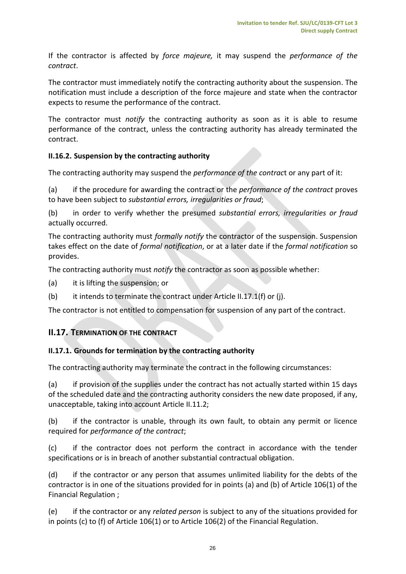If the contractor is affected by *force majeure,* it may suspend the *performance of the contract*.

The contractor must immediately notify the contracting authority about the suspension. The notification must include a description of the force majeure and state when the contractor expects to resume the performance of the contract.

The contractor must *notify* the contracting authority as soon as it is able to resume performance of the contract, unless the contracting authority has already terminated the contract.

## <span id="page-25-0"></span>**II.16.2. Suspension by the contracting authority**

The contracting authority may suspend the *performance of the contrac*t or any part of it:

(a) if the procedure for awarding the contract or the *performance of the contract* proves to have been subject to *substantial errors, irregularities or fraud*;

(b) in order to verify whether the presumed *substantial errors, irregularities or fraud* actually occurred.

The contracting authority must *formally notify* the contractor of the suspension. Suspension takes effect on the date of *formal notification*, or at a later date if the *formal notification* so provides.

The contracting authority must *notify* the contractor as soon as possible whether:

- (a) it is lifting the suspension; or
- (b) it intends to terminate the contract under Article II.17.1(f) or (j).

The contractor is not entitled to compensation for suspension of any part of the contract.

# <span id="page-25-1"></span>**II.17. TERMINATION OF THE CONTRACT**

## <span id="page-25-2"></span>**II.17.1. Grounds for termination by the contracting authority**

The contracting authority may terminate the contract in the following circumstances:

(a) if provision of the supplies under the contract has not actually started within 15 days of the scheduled date and the contracting authority considers the new date proposed, if any, unacceptable, taking into account Article II.11.2;

(b) if the contractor is unable, through its own fault, to obtain any permit or licence required for *performance of the contract*;

(c) if the contractor does not perform the contract in accordance with the tender specifications or is in breach of another substantial contractual obligation.

(d) if the contractor or any person that assumes unlimited liability for the debts of the contractor is in one of the situations provided for in points (a) and (b) of Article 106(1) of the Financial Regulation ;

(e) if the contractor or any *related person* is subject to any of the situations provided for in points (c) to (f) of Article 106(1) or to Article 106(2) of the Financial Regulation.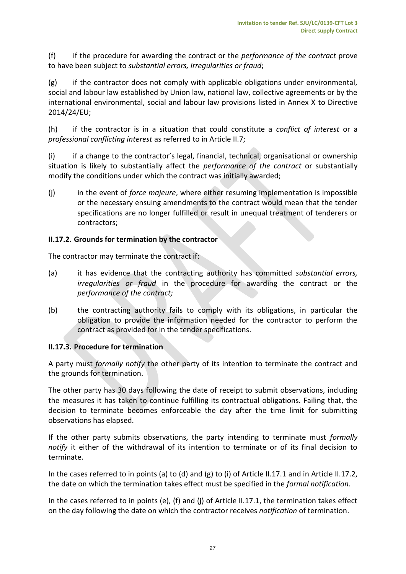(f) if the procedure for awarding the contract or the *performance of the contract* prove to have been subject to *substantial errors, irregularities or fraud*;

(g) if the contractor does not comply with applicable obligations under environmental, social and labour law established by Union law, national law, collective agreements or by the international environmental, social and labour law provisions listed in Annex X to Directive 2014/24/EU;

(h) if the contractor is in a situation that could constitute a *conflict of interest* or a *professional conflicting interest* as referred to in Article II.7;

(i) if a change to the contractor's legal, financial, technical, organisational or ownership situation is likely to substantially affect the *performance of the contract* or substantially modify the conditions under which the contract was initially awarded;

(j) in the event of *force majeure*, where either resuming implementation is impossible or the necessary ensuing amendments to the contract would mean that the tender specifications are no longer fulfilled or result in unequal treatment of tenderers or contractors;

## <span id="page-26-0"></span>**II.17.2. Grounds for termination by the contractor**

The contractor may terminate the contract if:

- (a) it has evidence that the contracting authority has committed *substantial errors, irregularities or fraud* in the procedure for awarding the contract or the *performance of the contract;*
- (b) the contracting authority fails to comply with its obligations, in particular the obligation to provide the information needed for the contractor to perform the contract as provided for in the tender specifications.

## <span id="page-26-1"></span>**II.17.3. Procedure for termination**

A party must *formally notify* the other party of its intention to terminate the contract and the grounds for termination.

The other party has 30 days following the date of receipt to submit observations, including the measures it has taken to continue fulfilling its contractual obligations. Failing that, the decision to terminate becomes enforceable the day after the time limit for submitting observations has elapsed.

If the other party submits observations, the party intending to terminate must *formally notify* it either of the withdrawal of its intention to terminate or of its final decision to terminate.

In the cases referred to in points (a) to (d) and (g) to (i) of Article II.17.1 and in Article II.17.2, the date on which the termination takes effect must be specified in the *formal notification*.

In the cases referred to in points (e), (f) and (j) of Article II.17.1, the termination takes effect on the day following the date on which the contractor receives *notification* of termination.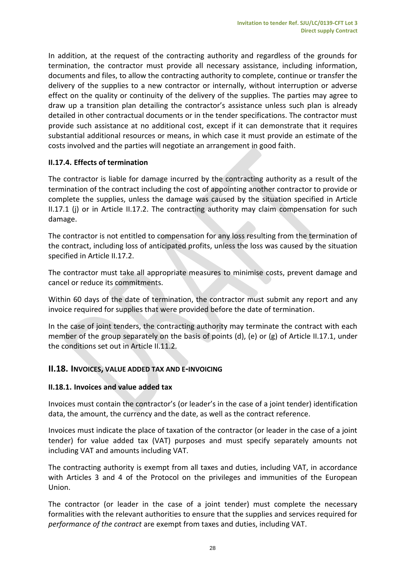In addition, at the request of the contracting authority and regardless of the grounds for termination, the contractor must provide all necessary assistance, including information, documents and files, to allow the contracting authority to complete, continue or transfer the delivery of the supplies to a new contractor or internally, without interruption or adverse effect on the quality or continuity of the delivery of the supplies. The parties may agree to draw up a transition plan detailing the contractor's assistance unless such plan is already detailed in other contractual documents or in the tender specifications. The contractor must provide such assistance at no additional cost, except if it can demonstrate that it requires substantial additional resources or means, in which case it must provide an estimate of the costs involved and the parties will negotiate an arrangement in good faith.

# <span id="page-27-0"></span>**II.17.4. Effects of termination**

The contractor is liable for damage incurred by the contracting authority as a result of the termination of the contract including the cost of appointing another contractor to provide or complete the supplies, unless the damage was caused by the situation specified in Article II.17.1 (j) or in Article II.17.2. The contracting authority may claim compensation for such damage.

The contractor is not entitled to compensation for any loss resulting from the termination of the contract, including loss of anticipated profits, unless the loss was caused by the situation specified in Article II.17.2.

The contractor must take all appropriate measures to minimise costs, prevent damage and cancel or reduce its commitments.

Within 60 days of the date of termination, the contractor must submit any report and any invoice required for supplies that were provided before the date of termination.

In the case of joint tenders, the contracting authority may terminate the contract with each member of the group separately on the basis of points (d), (e) or (g) of Article II.17.1, under the conditions set out in Article II.11.2.

## <span id="page-27-1"></span>**II.18. INVOICES, VALUE ADDED TAX AND E-INVOICING**

## <span id="page-27-2"></span>**II.18.1. Invoices and value added tax**

Invoices must contain the contractor's (or leader's in the case of a joint tender) identification data, the amount, the currency and the date, as well as the contract reference.

Invoices must indicate the place of taxation of the contractor (or leader in the case of a joint tender) for value added tax (VAT) purposes and must specify separately amounts not including VAT and amounts including VAT.

The contracting authority is exempt from all taxes and duties, including VAT, in accordance with Articles 3 and 4 of the Protocol on the privileges and immunities of the European Union.

The contractor (or leader in the case of a joint tender) must complete the necessary formalities with the relevant authorities to ensure that the supplies and services required for *performance of the contract* are exempt from taxes and duties, including VAT.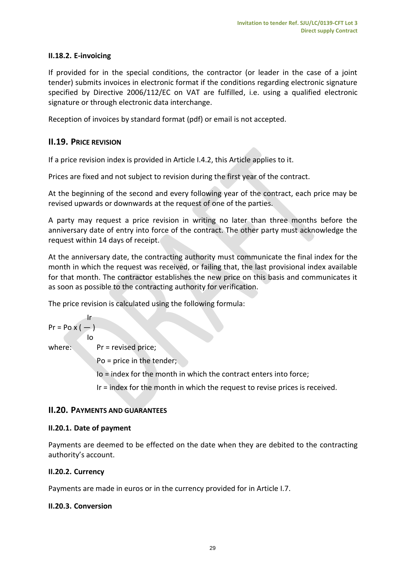# <span id="page-28-0"></span>**II.18.2. E-invoicing**

If provided for in the special conditions, the contractor (or leader in the case of a joint tender) submits invoices in electronic format if the conditions regarding electronic signature specified by Directive 2006/112/EC on VAT are fulfilled, i.e. using a qualified electronic signature or through electronic data interchange.

Reception of invoices by standard format (pdf) or email is not accepted.

# <span id="page-28-1"></span>**II.19. PRICE REVISION**

If a price revision index is provided in Article I.4.2, this Article applies to it.

Prices are fixed and not subject to revision during the first year of the contract.

At the beginning of the second and every following year of the contract, each price may be revised upwards or downwards at the request of one of the parties.

A party may request a price revision in writing no later than three months before the anniversary date of entry into force of the contract. The other party must acknowledge the request within 14 days of receipt.

At the anniversary date, the contracting authority must communicate the final index for the month in which the request was received, or failing that, the last provisional index available for that month. The contractor establishes the new price on this basis and communicates it as soon as possible to the contracting authority for verification.

The price revision is calculated using the following formula:

$$
Pr = Po \times (-)
$$

where: Pr = revised price;

Po = price in the tender;

Io = index for the month in which the contract enters into force;

Ir = index for the month in which the request to revise prices is received.

## <span id="page-28-2"></span>**II.20. PAYMENTS AND GUARANTEES**

#### <span id="page-28-3"></span>**II.20.1. Date of payment**

Io

Payments are deemed to be effected on the date when they are debited to the contracting authority's account.

## <span id="page-28-4"></span>**II.20.2. Currency**

Payments are made in euros or in the currency provided for in Article I.7.

#### <span id="page-28-5"></span>**II.20.3. Conversion**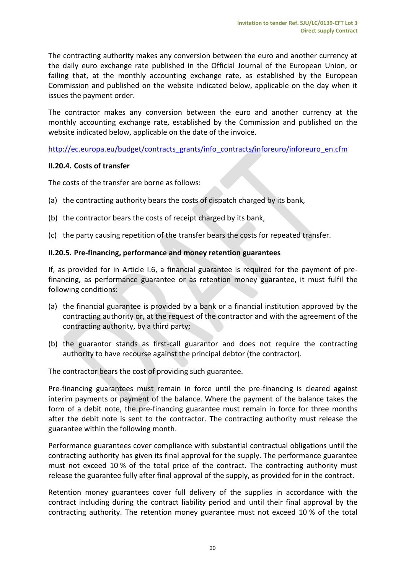The contracting authority makes any conversion between the euro and another currency at the daily euro exchange rate published in the Official Journal of the European Union, or failing that, at the monthly accounting exchange rate, as established by the European Commission and published on the website indicated below, applicable on the day when it issues the payment order.

The contractor makes any conversion between the euro and another currency at the monthly accounting exchange rate, established by the Commission and published on the website indicated below, applicable on the date of the invoice.

[http://ec.europa.eu/budget/contracts\\_grants/info\\_contracts/inforeuro/inforeuro\\_en.cfm](http://ec.europa.eu/budget/contracts_grants/info_contracts/inforeuro/inforeuro_en.cfm)

## <span id="page-29-0"></span>**II.20.4. Costs of transfer**

The costs of the transfer are borne as follows:

- (a) the contracting authority bears the costs of dispatch charged by its bank,
- (b) the contractor bears the costs of receipt charged by its bank,
- (c) the party causing repetition of the transfer bears the costs for repeated transfer.

## <span id="page-29-1"></span>**II.20.5. Pre-financing, performance and money retention guarantees**

If, as provided for in Article I.6, a financial guarantee is required for the payment of prefinancing, as performance guarantee or as retention money guarantee, it must fulfil the following conditions:

- (a) the financial guarantee is provided by a bank or a financial institution approved by the contracting authority or, at the request of the contractor and with the agreement of the contracting authority, by a third party;
- (b) the guarantor stands as first-call guarantor and does not require the contracting authority to have recourse against the principal debtor (the contractor).

The contractor bears the cost of providing such guarantee.

Pre-financing guarantees must remain in force until the pre-financing is cleared against interim payments or payment of the balance. Where the payment of the balance takes the form of a debit note, the pre-financing guarantee must remain in force for three months after the debit note is sent to the contractor. The contracting authority must release the guarantee within the following month.

Performance guarantees cover compliance with substantial contractual obligations until the contracting authority has given its final approval for the supply. The performance guarantee must not exceed 10 % of the total price of the contract. The contracting authority must release the guarantee fully after final approval of the supply, as provided for in the contract.

Retention money guarantees cover full delivery of the supplies in accordance with the contract including during the contract liability period and until their final approval by the contracting authority. The retention money guarantee must not exceed 10 % of the total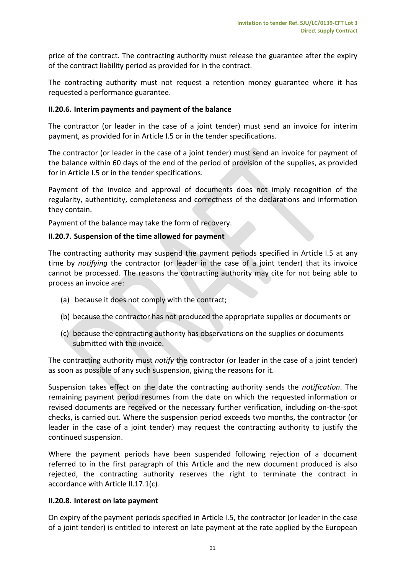price of the contract. The contracting authority must release the guarantee after the expiry of the contract liability period as provided for in the contract.

The contracting authority must not request a retention money guarantee where it has requested a performance guarantee.

## <span id="page-30-0"></span>**II.20.6. Interim payments and payment of the balance**

The contractor (or leader in the case of a joint tender) must send an invoice for interim payment, as provided for in Article I.5 or in the tender specifications.

The contractor (or leader in the case of a joint tender) must send an invoice for payment of the balance within 60 days of the end of the period of provision of the supplies, as provided for in Article I.5 or in the tender specifications.

Payment of the invoice and approval of documents does not imply recognition of the regularity, authenticity, completeness and correctness of the declarations and information they contain.

Payment of the balance may take the form of recovery.

## <span id="page-30-1"></span>**II.20.7. Suspension of the time allowed for payment**

The contracting authority may suspend the payment periods specified in Article I.5 at any time by *notifying* the contractor (or leader in the case of a joint tender) that its invoice cannot be processed. The reasons the contracting authority may cite for not being able to process an invoice are:

- (a) because it does not comply with the contract;
- (b) because the contractor has not produced the appropriate supplies or documents or
- (c) because the contracting authority has observations on the supplies or documents submitted with the invoice.

The contracting authority must *notify* the contractor (or leader in the case of a joint tender) as soon as possible of any such suspension, giving the reasons for it.

Suspension takes effect on the date the contracting authority sends the *notification*. The remaining payment period resumes from the date on which the requested information or revised documents are received or the necessary further verification, including on-the-spot checks, is carried out. Where the suspension period exceeds two months, the contractor (or leader in the case of a joint tender) may request the contracting authority to justify the continued suspension.

Where the payment periods have been suspended following rejection of a document referred to in the first paragraph of this Article and the new document produced is also rejected, the contracting authority reserves the right to terminate the contract in accordance with Article II.17.1(c)*.*

## <span id="page-30-2"></span>**II.20.8. Interest on late payment**

On expiry of the payment periods specified in Article I.5, the contractor (or leader in the case of a joint tender) is entitled to interest on late payment at the rate applied by the European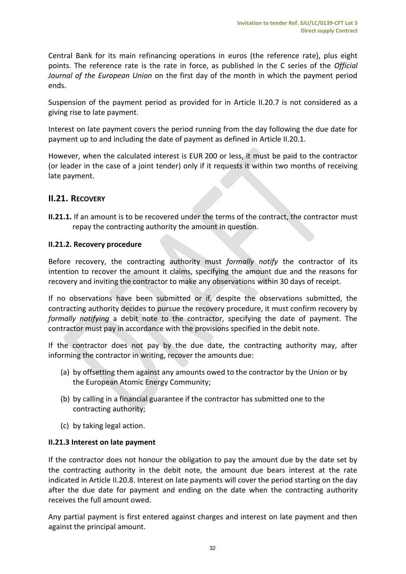Central Bank for its main refinancing operations in euros (the reference rate), plus eight points. The reference rate is the rate in force, as published in the C series of the *Official Journal of the European Union* on the first day of the month in which the payment period ends.

Suspension of the payment period as provided for in Article II.20.7 is not considered as a giving rise to late payment.

Interest on late payment covers the period running from the day following the due date for payment up to and including the date of payment as defined in Article II.20.1.

However, when the calculated interest is EUR 200 or less, it must be paid to the contractor (or leader in the case of a joint tender) only if it requests it within two months of receiving late payment.

# <span id="page-31-0"></span>**II.21. RECOVERY**

**II.21.1.** If an amount is to be recovered under the terms of the contract, the contractor must repay the contracting authority the amount in question.

## **II.21.2. Recovery procedure**

Before recovery, the contracting authority must *formally notify* the contractor of its intention to recover the amount it claims, specifying the amount due and the reasons for recovery and inviting the contractor to make any observations within 30 days of receipt.

If no observations have been submitted or if, despite the observations submitted, the contracting authority decides to pursue the recovery procedure, it must confirm recovery by *formally notifying* a debit note to the contractor, specifying the date of payment. The contractor must pay in accordance with the provisions specified in the debit note.

If the contractor does not pay by the due date, the contracting authority may, after informing the contractor in writing, recover the amounts due:

- (a) by offsetting them against any amounts owed to the contractor by the Union or by the European Atomic Energy Community;
- (b) by calling in a financial guarantee if the contractor has submitted one to the contracting authority;
- (c) by taking legal action.

## **II.21.3 Interest on late payment**

If the contractor does not honour the obligation to pay the amount due by the date set by the contracting authority in the debit note, the amount due bears interest at the rate indicated in Article II.20.8. Interest on late payments will cover the period starting on the day after the due date for payment and ending on the date when the contracting authority receives the full amount owed.

Any partial payment is first entered against charges and interest on late payment and then against the principal amount.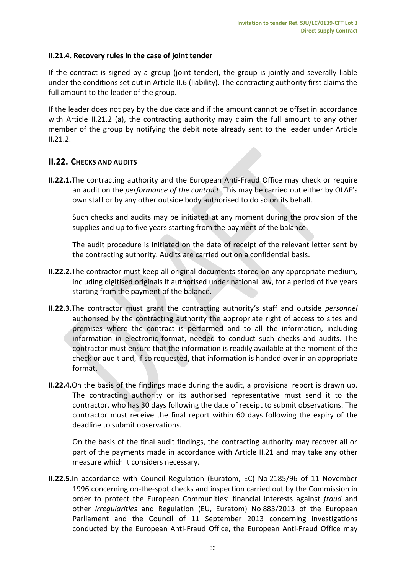## **II.21.4. Recovery rules in the case of joint tender**

If the contract is signed by a group (joint tender), the group is jointly and severally liable under the conditions set out in Article II.6 (liability). The contracting authority first claims the full amount to the leader of the group.

If the leader does not pay by the due date and if the amount cannot be offset in accordance with Article II.21.2 (a), the contracting authority may claim the full amount to any other member of the group by notifying the debit note already sent to the leader under Article  $II.21.2.$ 

# <span id="page-32-0"></span>**II.22. CHECKS AND AUDITS**

**II.22.1.**The contracting authority and the European Anti-Fraud Office may check or require an audit on the *performance of the contract*. This may be carried out either by OLAF's own staff or by any other outside body authorised to do so on its behalf.

Such checks and audits may be initiated at any moment during the provision of the supplies and up to five years starting from the payment of the balance.

The audit procedure is initiated on the date of receipt of the relevant letter sent by the contracting authority. Audits are carried out on a confidential basis.

- **II.22.2.**The contractor must keep all original documents stored on any appropriate medium, including digitised originals if authorised under national law, for a period of five years starting from the payment of the balance.
- **II.22.3.**The contractor must grant the contracting authority's staff and outside *personnel* authorised by the contracting authority the appropriate right of access to sites and premises where the contract is performed and to all the information, including information in electronic format, needed to conduct such checks and audits. The contractor must ensure that the information is readily available at the moment of the check or audit and, if so requested, that information is handed over in an appropriate format.
- **II.22.4.**On the basis of the findings made during the audit, a provisional report is drawn up. The contracting authority or its authorised representative must send it to the contractor, who has 30 days following the date of receipt to submit observations. The contractor must receive the final report within 60 days following the expiry of the deadline to submit observations.

On the basis of the final audit findings, the contracting authority may recover all or part of the payments made in accordance with Article II.21 and may take any other measure which it considers necessary.

**II.22.5.**In accordance with Council Regulation (Euratom, EC) No 2185/96 of 11 November 1996 concerning on-the-spot checks and inspection carried out by the Commission in order to protect the European Communities' financial interests against *fraud* and other *irregularities* and Regulation (EU, Euratom) No 883/2013 of the European Parliament and the Council of 11 September 2013 concerning investigations conducted by the European Anti-Fraud Office, the European Anti-Fraud Office may